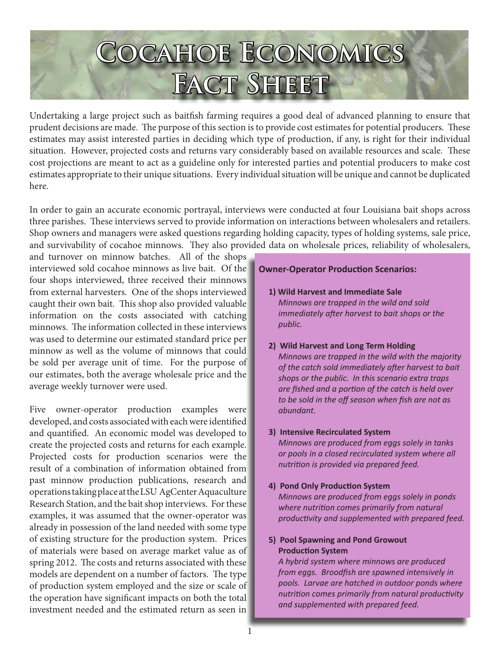# **Cocahoe Economics Fact Sheet**

Undertaking a large project such as baitfish farming requires a good deal of advanced planning to ensure that prudent decisions are made. The purpose of this section is to provide cost estimates for potential producers. These estimates may assist interested parties in deciding which type of production, if any, is right for their individual situation. However, projected costs and returns vary considerably based on available resources and scale. These cost projections are meant to act as a guideline only for interested parties and potential producers to make cost estimates appropriate to their unique situations. Every individual situation will be unique and cannot be duplicated here.

In order to gain an accurate economic portrayal, interviews were conducted at four Louisiana bait shops across three parishes. These interviews served to provide information on interactions between wholesalers and retailers. Shop owners and managers were asked questions regarding holding capacity, types of holding systems, sale price, and survivability of cocahoe minnows. They also provided data on wholesale prices, reliability of wholesalers,

and turnover on minnow batches. All of the shops interviewed sold cocahoe minnows as live bait. Of the four shops interviewed, three received their minnows from external harvesters. One of the shops interviewed caught their own bait. This shop also provided valuable information on the costs associated with catching minnows. The information collected in these interviews was used to determine our estimated standard price per minnow as well as the volume of minnows that could be sold per average unit of time. For the purpose of our estimates, both the average wholesale price and the average weekly turnover were used.

Five owner-operator production examples were developed, and costs associated with each were identified and quantified. An economic model was developed to create the projected costs and returns for each example. Projected costs for production scenarios were the result of a combination of information obtained from past minnow production publications, research and operations taking place at the LSU AgCenter Aquaculture Research Station, and the bait shop interviews. For these examples, it was assumed that the owner-operator was already in possession of the land needed with some type of existing structure for the production system. Prices of materials were based on average market value as of spring 2012. The costs and returns associated with these models are dependent on a number of factors. The type of production system employed and the size or scale of the operation have significant impacts on both the total investment needed and the estimated return as seen in

### **Owner-Operator Production Scenarios:**

- **1) Wild Harvest and Immediate Sale** *Minnows are trapped in the wild and sold immediately after harvest to bait shops or the public.*
- **2) Wild Harvest and Long Term Holding** *Minnows are trapped in the wild with the majority of the catch sold immediately after harvest to bait shops or the public. In this scenario extra traps are fished and a portion of the catch is held over to be sold in the off season when fish are not as abundant.*

# **3) Intensive Recirculated System**

*Minnows are produced from eggs solely in tanks or pools in a closed recirculated system where all nutrition is provided via prepared feed.* 

# **4) Pond Only Production System**

*Minnows are produced from eggs solely in ponds where nutrition comes primarily from natural productivity and supplemented with prepared feed.*

# **5) Pool Spawning and Pond Growout Production System**

*A hybrid system where minnows are produced from eggs. Broodfish are spawned intensively in pools. Larvae are hatched in outdoor ponds where nutrition comes primarily from natural productivity and supplemented with prepared feed.*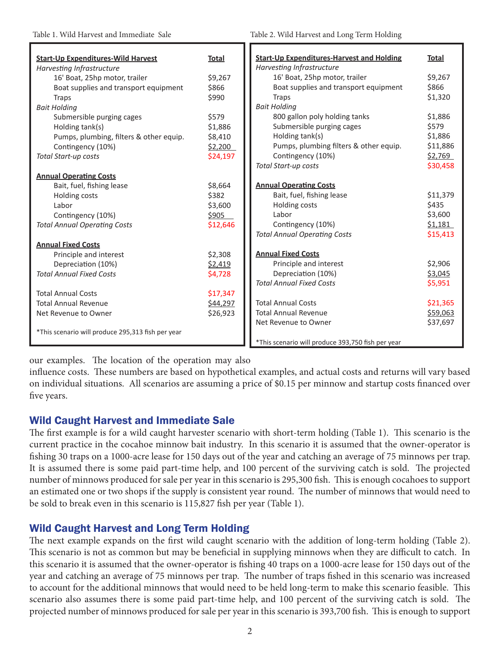| <b>Start-Up Expenditures-Wild Harvest</b>         | <b>Total</b> | <b>Start-Up Expenditures-Harvest and Holding</b>  | <b>Total</b> |
|---------------------------------------------------|--------------|---------------------------------------------------|--------------|
| Harvesting Infrastructure                         |              | Harvesting Infrastructure                         |              |
| 16' Boat, 25hp motor, trailer                     | \$9,267      | 16' Boat, 25hp motor, trailer                     | \$9,267      |
| Boat supplies and transport equipment             | \$866        | Boat supplies and transport equipment             | \$866        |
| <b>Traps</b>                                      | \$990        | <b>Traps</b>                                      | \$1,320      |
| <b>Bait Holding</b>                               |              | <b>Bait Holding</b>                               |              |
| Submersible purging cages                         | \$579        | 800 gallon poly holding tanks                     | \$1,886      |
| Holding tank(s)                                   | \$1,886      | Submersible purging cages                         | \$579        |
| Pumps, plumbing, filters & other equip.           | \$8,410      | Holding tank(s)                                   | \$1,886      |
| Contingency (10%)                                 | \$2,200      | Pumps, plumbing filters & other equip.            | \$11,886     |
| Total Start-up costs                              | \$24,197     | Contingency (10%)                                 | \$2,769      |
|                                                   |              | <b>Total Start-up costs</b>                       | \$30,458     |
| <b>Annual Operating Costs</b>                     |              |                                                   |              |
| Bait, fuel, fishing lease                         | \$8,664      | <b>Annual Operating Costs</b>                     |              |
| Holding costs                                     | \$382        | Bait, fuel, fishing lease                         | \$11,379     |
| Labor                                             | \$3,600      | Holding costs                                     | \$435        |
| Contingency (10%)                                 | \$905        | Labor                                             | \$3,600      |
| <b>Total Annual Operating Costs</b>               | \$12,646     | Contingency (10%)                                 | \$1,181      |
|                                                   |              | <b>Total Annual Operating Costs</b>               | \$15,413     |
| <b>Annual Fixed Costs</b>                         |              |                                                   |              |
| Principle and interest                            | \$2,308      | <b>Annual Fixed Costs</b>                         |              |
| Depreciation (10%)                                | \$2,419      | Principle and interest                            | \$2,906      |
| <b>Total Annual Fixed Costs</b>                   | \$4,728      | Depreciation (10%)                                | \$3,045      |
|                                                   |              | <b>Total Annual Fixed Costs</b>                   | \$5,951      |
| <b>Total Annual Costs</b>                         | \$17,347     |                                                   |              |
| <b>Total Annual Revenue</b>                       | \$44,297     | <b>Total Annual Costs</b>                         | \$21,365     |
| Net Revenue to Owner                              | \$26,923     | <b>Total Annual Revenue</b>                       | \$59,063     |
|                                                   |              | Net Revenue to Owner                              | \$37,697     |
| *This scenario will produce 295,313 fish per year |              |                                                   |              |
|                                                   |              | *This scenario will produce 393,750 fish per year |              |

our examples. The location of the operation may also

influence costs. These numbers are based on hypothetical examples, and actual costs and returns will vary based on individual situations. All scenarios are assuming a price of \$0.15 per minnow and startup costs financed over five years.

# Wild Caught Harvest and Immediate Sale

The first example is for a wild caught harvester scenario with short-term holding (Table 1). This scenario is the current practice in the cocahoe minnow bait industry. In this scenario it is assumed that the owner-operator is fishing 30 traps on a 1000-acre lease for 150 days out of the year and catching an average of 75 minnows per trap. It is assumed there is some paid part-time help, and 100 percent of the surviving catch is sold. The projected number of minnows produced for sale per year in this scenario is 295,300 fish. This is enough cocahoes to support an estimated one or two shops if the supply is consistent year round. The number of minnows that would need to be sold to break even in this scenario is 115,827 fish per year (Table 1).

# Wild Caught Harvest and Long Term Holding

The next example expands on the first wild caught scenario with the addition of long-term holding (Table 2). This scenario is not as common but may be beneficial in supplying minnows when they are difficult to catch. In this scenario it is assumed that the owner-operator is fishing 40 traps on a 1000-acre lease for 150 days out of the year and catching an average of 75 minnows per trap. The number of traps fished in this scenario was increased to account for the additional minnows that would need to be held long-term to make this scenario feasible. This scenario also assumes there is some paid part-time help, and 100 percent of the surviving catch is sold. The projected number of minnows produced for sale per year in this scenario is 393,700 fish. This is enough to support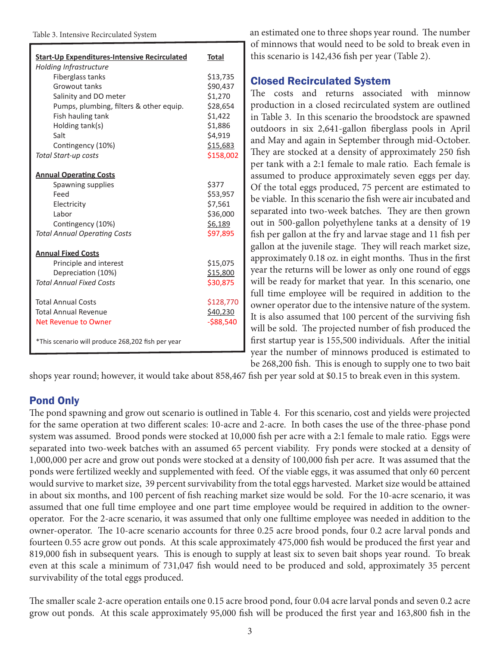#### Table 3. Intensive Recirculated System

| <b>Start-Up Expenditures-Intensive Recirculated</b> | <b>Total</b> |
|-----------------------------------------------------|--------------|
| Holding Infrastructure                              |              |
| Fiberglass tanks                                    | \$13,735     |
| Growout tanks                                       | \$90,437     |
| Salinity and DO meter                               | \$1,270      |
| Pumps, plumbing, filters & other equip.             | \$28,654     |
| Fish hauling tank                                   | \$1,422      |
| Holding tank(s)                                     | \$1,886      |
| Salt                                                | \$4,919      |
| Contingency (10%)                                   | \$15,683     |
| <b>Total Start-up costs</b>                         | \$158,002    |
| <b>Annual Operating Costs</b>                       |              |
| Spawning supplies                                   | \$377        |
| Feed                                                | \$53,957     |
| Electricity                                         | \$7,561      |
| Labor                                               | \$36,000     |
| Contingency (10%)                                   | \$6,189      |
| <b>Total Annual Operating Costs</b>                 | \$97,895     |
| <b>Annual Fixed Costs</b>                           |              |
| Principle and interest                              | \$15,075     |
| Depreciation (10%)                                  | \$15,800     |
| <b>Total Annual Fixed Costs</b>                     | \$30,875     |
| <b>Total Annual Costs</b>                           | \$128,770    |
| <b>Total Annual Revenue</b>                         | \$40,230     |
| Net Revenue to Owner                                | $-588,540$   |
| *This scenario will produce 268,202 fish per year   |              |

an estimated one to three shops year round. The number of minnows that would need to be sold to break even in this scenario is 142,436 fish per year (Table 2).

# Closed Recirculated System

The costs and returns associated with minnow production in a closed recirculated system are outlined in Table 3. In this scenario the broodstock are spawned outdoors in six 2,641-gallon fiberglass pools in April and May and again in September through mid-October. They are stocked at a density of approximately 250 fish per tank with a 2:1 female to male ratio. Each female is assumed to produce approximately seven eggs per day. Of the total eggs produced, 75 percent are estimated to be viable. In this scenario the fish were air incubated and separated into two-week batches. They are then grown out in 500-gallon polyethylene tanks at a density of 19 fish per gallon at the fry and larvae stage and 11 fish per gallon at the juvenile stage. They will reach market size, approximately 0.18 oz. in eight months. Thus in the first year the returns will be lower as only one round of eggs will be ready for market that year. In this scenario, one full time employee will be required in addition to the owner operator due to the intensive nature of the system. It is also assumed that 100 percent of the surviving fish will be sold. The projected number of fish produced the first startup year is 155,500 individuals. After the initial year the number of minnows produced is estimated to be 268,200 fish. This is enough to supply one to two bait

shops year round; however, it would take about 858,467 fish per year sold at \$0.15 to break even in this system.

# Pond Only

The pond spawning and grow out scenario is outlined in Table 4. For this scenario, cost and yields were projected for the same operation at two different scales: 10-acre and 2-acre. In both cases the use of the three-phase pond system was assumed. Brood ponds were stocked at 10,000 fish per acre with a 2:1 female to male ratio. Eggs were separated into two-week batches with an assumed 65 percent viability. Fry ponds were stocked at a density of 1,000,000 per acre and grow out ponds were stocked at a density of 100,000 fish per acre. It was assumed that the ponds were fertilized weekly and supplemented with feed. Of the viable eggs, it was assumed that only 60 percent would survive to market size, 39 percent survivability from the total eggs harvested. Market size would be attained in about six months, and 100 percent of fish reaching market size would be sold. For the 10-acre scenario, it was assumed that one full time employee and one part time employee would be required in addition to the owneroperator. For the 2-acre scenario, it was assumed that only one fulltime employee was needed in addition to the owner-operator. The 10-acre scenario accounts for three 0.25 acre brood ponds, four 0.2 acre larval ponds and fourteen 0.55 acre grow out ponds. At this scale approximately 475,000 fish would be produced the first year and 819,000 fish in subsequent years. This is enough to supply at least six to seven bait shops year round. To break even at this scale a minimum of 731,047 fish would need to be produced and sold, approximately 35 percent survivability of the total eggs produced.

The smaller scale 2-acre operation entails one 0.15 acre brood pond, four 0.04 acre larval ponds and seven 0.2 acre grow out ponds. At this scale approximately 95,000 fish will be produced the first year and 163,800 fish in the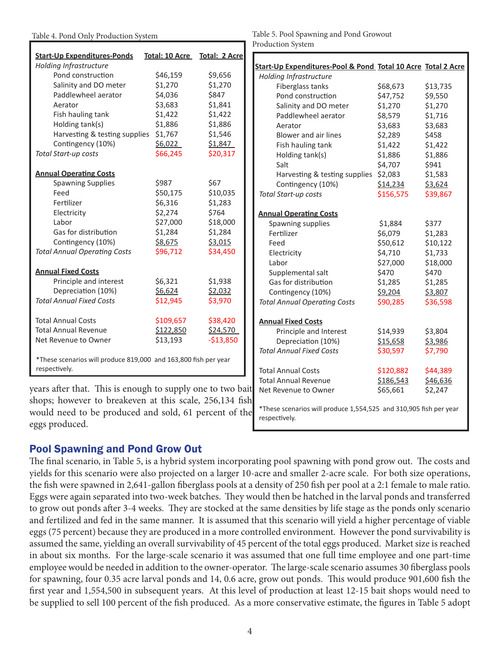| <b>Start-Up Expenditures-Ponds</b>                                               | Total: 10 Acre Total: 2 Acre |            |
|----------------------------------------------------------------------------------|------------------------------|------------|
| Holding Infrastructure                                                           |                              |            |
| Pond construction                                                                | \$46,159                     | \$9,656    |
| Salinity and DO meter                                                            | \$1,270                      | \$1,270    |
| Paddlewheel aerator                                                              | \$4,036                      | \$847      |
| Aerator                                                                          | \$3,683                      | \$1,841    |
| Fish hauling tank                                                                | \$1,422                      | \$1,422    |
| Holding tank(s)                                                                  | \$1,886                      | \$1,886    |
| Harvesting & testing supplies                                                    | \$1,767                      | \$1,546    |
| Contingency (10%)                                                                | \$6,022                      | \$1,847    |
| <b>Total Start-up costs</b>                                                      | \$66,245                     | \$20,317   |
| <b>Annual Operating Costs</b>                                                    |                              |            |
| <b>Spawning Supplies</b>                                                         | \$987                        | \$67       |
| Feed                                                                             | \$50,175                     | \$10,035   |
| Fertilizer                                                                       | \$6,316                      | \$1,283    |
| Electricity                                                                      | \$2,274                      | \$764      |
| Labor                                                                            | \$27,000                     | \$18,000   |
| Gas for distribution                                                             | \$1,284                      | \$1,284    |
| Contingency (10%)                                                                | \$8,675                      | \$3,015    |
| <b>Total Annual Operating Costs</b>                                              | \$96,712                     | \$34,450   |
| <b>Annual Fixed Costs</b>                                                        |                              |            |
| Principle and interest                                                           | \$6,321                      | \$1,938    |
| Depreciation (10%)                                                               | \$6,624                      | \$2,032    |
| <b>Total Annual Fixed Costs</b>                                                  | \$12,945                     | \$3,970    |
| <b>Total Annual Costs</b>                                                        | \$109,657                    | \$38,420   |
| <b>Total Annual Revenue</b>                                                      | \$122,850                    | \$24,570   |
| Net Revenue to Owner                                                             | \$13,193                     | $-$13,850$ |
| *These scenarios will produce 819,000 and 163,800 fish per year<br>respectively. |                              |            |

years after that. This is enough to supply one to two bait shops; however to breakeven at this scale, 256,134 fish would need to be produced and sold, 61 percent of the eggs produced.

#### Table 4. Pond Only Production System Table 5. Pool Spawning and Pond Growout Production System

| Start-Up Expenditures-Pool & Pond Total 10 Acre Total 2 Acre                       |           |          |
|------------------------------------------------------------------------------------|-----------|----------|
| Holding Infrastructure                                                             |           |          |
| Fiberglass tanks                                                                   | \$68,673  | \$13,735 |
| Pond construction                                                                  | \$47,752  | \$9,550  |
| Salinity and DO meter                                                              | \$1,270   | \$1,270  |
| Paddlewheel aerator                                                                | \$8,579   | \$1,716  |
| Aerator                                                                            | \$3,683   | \$3,683  |
| Blower and air lines                                                               | \$2,289   | \$458    |
| Fish hauling tank                                                                  | \$1,422   | \$1,422  |
| Holding tank(s)                                                                    | \$1,886   | \$1,886  |
| Salt                                                                               | \$4,707   | \$941    |
| Harvesting & testing supplies                                                      | \$2,083   | \$1,583  |
| Contingency (10%)                                                                  | \$14,234  | \$3,624  |
| Total Start-up costs                                                               | \$156,575 | \$39,867 |
| <b>Annual Operating Costs</b>                                                      |           |          |
| Spawning supplies                                                                  | \$1,884   | \$377    |
| Fertilizer                                                                         | \$6,079   | \$1,283  |
| Feed                                                                               | \$50,612  | \$10,122 |
| Electricity                                                                        | \$4,710   | \$1,733  |
| Labor                                                                              | \$27,000  | \$18,000 |
| Supplemental salt                                                                  | \$470     | \$470    |
| Gas for distribution                                                               | \$1,285   | \$1,285  |
| Contingency (10%)                                                                  | \$9,204   | \$3,807  |
| <b>Total Annual Operating Costs</b>                                                | \$90,285  | \$36,598 |
| <b>Annual Fixed Costs</b>                                                          |           |          |
| Principle and Interest                                                             | \$14,939  | \$3,804  |
| Depreciation (10%)                                                                 | \$15,658  | \$3,986  |
| <b>Total Annual Fixed Costs</b>                                                    | \$30,597  | \$7,790  |
| <b>Total Annual Costs</b>                                                          | \$120,882 | \$44,389 |
| <b>Total Annual Revenue</b>                                                        | \$186,543 | \$46,636 |
| Net Revenue to Owner                                                               | \$65,661  | \$2,247  |
| *These scenarios will produce 1,554,525 and 310,905 fish per year<br>respectively. |           |          |

# Pool Spawning and Pond Grow Out

The final scenario, in Table 5, is a hybrid system incorporating pool spawning with pond grow out. The costs and yields for this scenario were also projected on a larger 10-acre and smaller 2-acre scale. For both size operations, the fish were spawned in 2,641-gallon fiberglass pools at a density of 250 fish per pool at a 2:1 female to male ratio. Eggs were again separated into two-week batches. They would then be hatched in the larval ponds and transferred to grow out ponds after 3-4 weeks. They are stocked at the same densities by life stage as the ponds only scenario and fertilized and fed in the same manner. It is assumed that this scenario will yield a higher percentage of viable eggs (75 percent) because they are produced in a more controlled environment. However the pond survivability is assumed the same, yielding an overall survivability of 45 percent of the total eggs produced. Market size is reached in about six months. For the large-scale scenario it was assumed that one full time employee and one part-time employee would be needed in addition to the owner-operator. The large-scale scenario assumes 30 fiberglass pools for spawning, four 0.35 acre larval ponds and 14, 0.6 acre, grow out ponds. This would produce 901,600 fish the first year and 1,554,500 in subsequent years. At this level of production at least 12-15 bait shops would need to be supplied to sell 100 percent of the fish produced. As a more conservative estimate, the figures in Table 5 adopt